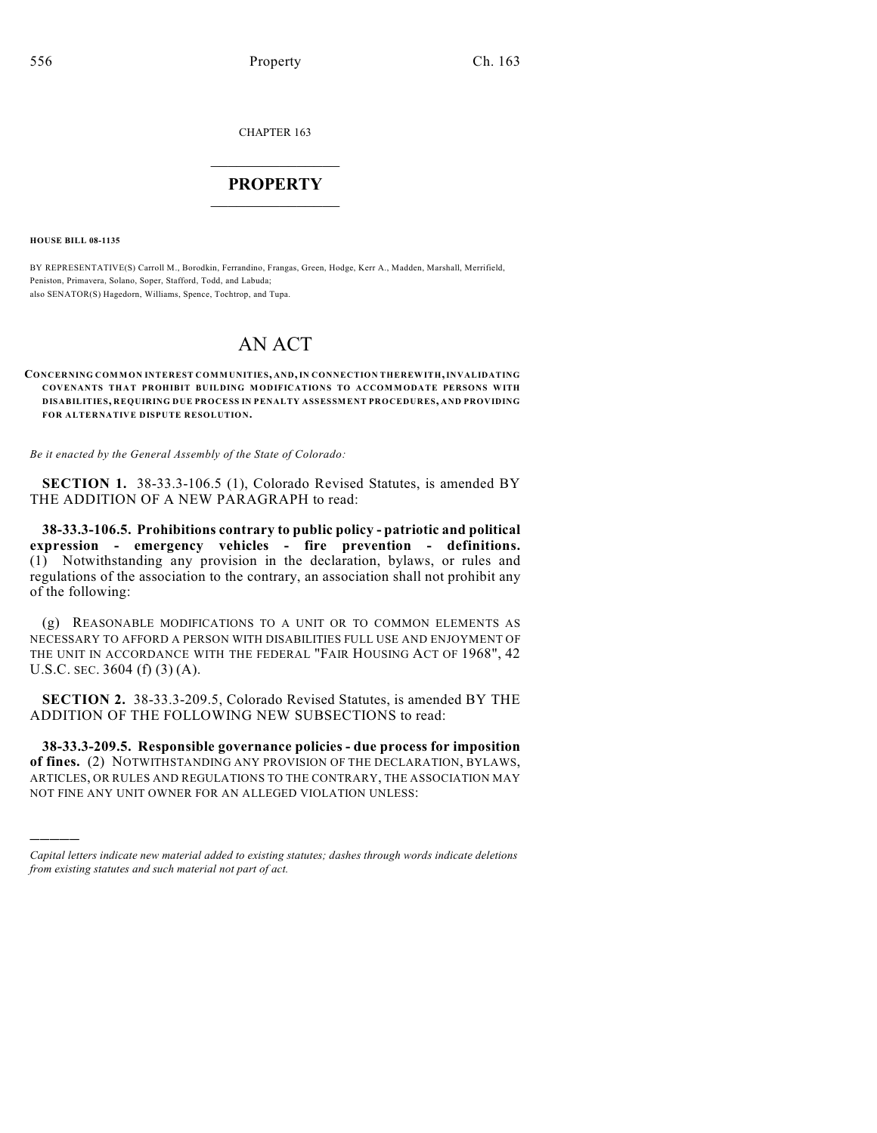CHAPTER 163

## $\mathcal{L}_\text{max}$  . The set of the set of the set of the set of the set of the set of the set of the set of the set of the set of the set of the set of the set of the set of the set of the set of the set of the set of the set **PROPERTY**  $\_$   $\_$   $\_$   $\_$   $\_$   $\_$   $\_$   $\_$   $\_$

**HOUSE BILL 08-1135**

)))))

BY REPRESENTATIVE(S) Carroll M., Borodkin, Ferrandino, Frangas, Green, Hodge, Kerr A., Madden, Marshall, Merrifield, Peniston, Primavera, Solano, Soper, Stafford, Todd, and Labuda; also SENATOR(S) Hagedorn, Williams, Spence, Tochtrop, and Tupa.

## AN ACT

## **CONCERNING COMMON INTEREST COMMUNITIES, AND, IN CONNECTION THEREWITH, INVALIDATING COVENANTS THAT PROHIBIT BUILDING MODIFICATIONS TO ACCOMMODATE PERSONS WITH DISABILITIES, REQUIRING DUE PROCESS IN PENALTY ASSESSMENT PROCEDURES, AND PROVIDING FOR ALTERNATIVE DISPUTE RESOLUTION.**

*Be it enacted by the General Assembly of the State of Colorado:*

**SECTION 1.** 38-33.3-106.5 (1), Colorado Revised Statutes, is amended BY THE ADDITION OF A NEW PARAGRAPH to read:

**38-33.3-106.5. Prohibitions contrary to public policy - patriotic and political expression - emergency vehicles - fire prevention - definitions.** (1) Notwithstanding any provision in the declaration, bylaws, or rules and regulations of the association to the contrary, an association shall not prohibit any of the following:

(g) REASONABLE MODIFICATIONS TO A UNIT OR TO COMMON ELEMENTS AS NECESSARY TO AFFORD A PERSON WITH DISABILITIES FULL USE AND ENJOYMENT OF THE UNIT IN ACCORDANCE WITH THE FEDERAL "FAIR HOUSING ACT OF 1968", 42 U.S.C. SEC. 3604 (f) (3) (A).

**SECTION 2.** 38-33.3-209.5, Colorado Revised Statutes, is amended BY THE ADDITION OF THE FOLLOWING NEW SUBSECTIONS to read:

**38-33.3-209.5. Responsible governance policies - due process for imposition of fines.** (2) NOTWITHSTANDING ANY PROVISION OF THE DECLARATION, BYLAWS, ARTICLES, OR RULES AND REGULATIONS TO THE CONTRARY, THE ASSOCIATION MAY NOT FINE ANY UNIT OWNER FOR AN ALLEGED VIOLATION UNLESS:

*Capital letters indicate new material added to existing statutes; dashes through words indicate deletions from existing statutes and such material not part of act.*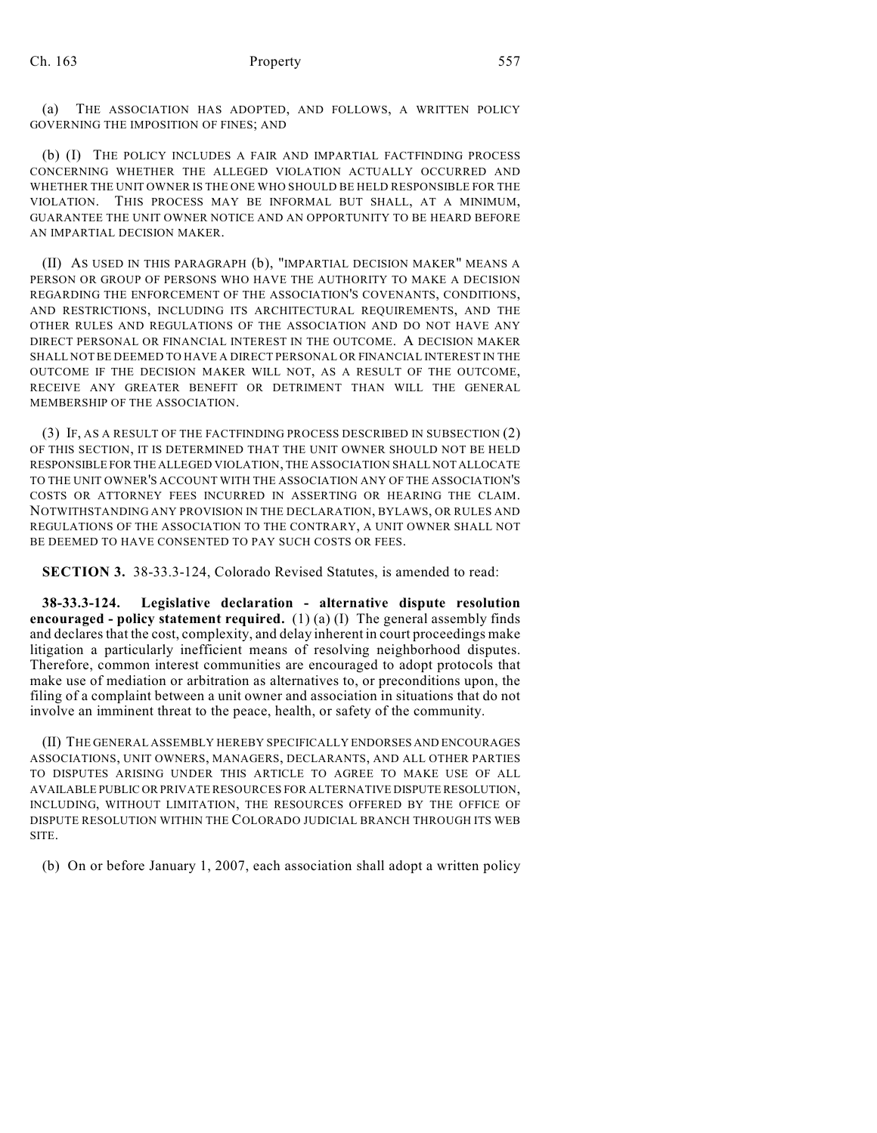(a) THE ASSOCIATION HAS ADOPTED, AND FOLLOWS, A WRITTEN POLICY GOVERNING THE IMPOSITION OF FINES; AND

(b) (I) THE POLICY INCLUDES A FAIR AND IMPARTIAL FACTFINDING PROCESS CONCERNING WHETHER THE ALLEGED VIOLATION ACTUALLY OCCURRED AND WHETHER THE UNIT OWNER IS THE ONE WHO SHOULD BE HELD RESPONSIBLE FOR THE VIOLATION. THIS PROCESS MAY BE INFORMAL BUT SHALL, AT A MINIMUM, GUARANTEE THE UNIT OWNER NOTICE AND AN OPPORTUNITY TO BE HEARD BEFORE AN IMPARTIAL DECISION MAKER.

(II) AS USED IN THIS PARAGRAPH (b), "IMPARTIAL DECISION MAKER" MEANS A PERSON OR GROUP OF PERSONS WHO HAVE THE AUTHORITY TO MAKE A DECISION REGARDING THE ENFORCEMENT OF THE ASSOCIATION'S COVENANTS, CONDITIONS, AND RESTRICTIONS, INCLUDING ITS ARCHITECTURAL REQUIREMENTS, AND THE OTHER RULES AND REGULATIONS OF THE ASSOCIATION AND DO NOT HAVE ANY DIRECT PERSONAL OR FINANCIAL INTEREST IN THE OUTCOME. A DECISION MAKER SHALL NOT BE DEEMED TO HAVE A DIRECT PERSONAL OR FINANCIAL INTEREST IN THE OUTCOME IF THE DECISION MAKER WILL NOT, AS A RESULT OF THE OUTCOME, RECEIVE ANY GREATER BENEFIT OR DETRIMENT THAN WILL THE GENERAL MEMBERSHIP OF THE ASSOCIATION.

(3) IF, AS A RESULT OF THE FACTFINDING PROCESS DESCRIBED IN SUBSECTION (2) OF THIS SECTION, IT IS DETERMINED THAT THE UNIT OWNER SHOULD NOT BE HELD RESPONSIBLE FOR THE ALLEGED VIOLATION, THE ASSOCIATION SHALL NOT ALLOCATE TO THE UNIT OWNER'S ACCOUNT WITH THE ASSOCIATION ANY OF THE ASSOCIATION'S COSTS OR ATTORNEY FEES INCURRED IN ASSERTING OR HEARING THE CLAIM. NOTWITHSTANDING ANY PROVISION IN THE DECLARATION, BYLAWS, OR RULES AND REGULATIONS OF THE ASSOCIATION TO THE CONTRARY, A UNIT OWNER SHALL NOT BE DEEMED TO HAVE CONSENTED TO PAY SUCH COSTS OR FEES.

**SECTION 3.** 38-33.3-124, Colorado Revised Statutes, is amended to read:

**38-33.3-124. Legislative declaration - alternative dispute resolution encouraged - policy statement required.** (1) (a) (I) The general assembly finds and declares that the cost, complexity, and delay inherent in court proceedings make litigation a particularly inefficient means of resolving neighborhood disputes. Therefore, common interest communities are encouraged to adopt protocols that make use of mediation or arbitration as alternatives to, or preconditions upon, the filing of a complaint between a unit owner and association in situations that do not involve an imminent threat to the peace, health, or safety of the community.

(II) THE GENERAL ASSEMBLY HEREBY SPECIFICALLY ENDORSES AND ENCOURAGES ASSOCIATIONS, UNIT OWNERS, MANAGERS, DECLARANTS, AND ALL OTHER PARTIES TO DISPUTES ARISING UNDER THIS ARTICLE TO AGREE TO MAKE USE OF ALL AVAILABLE PUBLIC OR PRIVATE RESOURCES FOR ALTERNATIVE DISPUTE RESOLUTION, INCLUDING, WITHOUT LIMITATION, THE RESOURCES OFFERED BY THE OFFICE OF DISPUTE RESOLUTION WITHIN THE COLORADO JUDICIAL BRANCH THROUGH ITS WEB SITE.

(b) On or before January 1, 2007, each association shall adopt a written policy